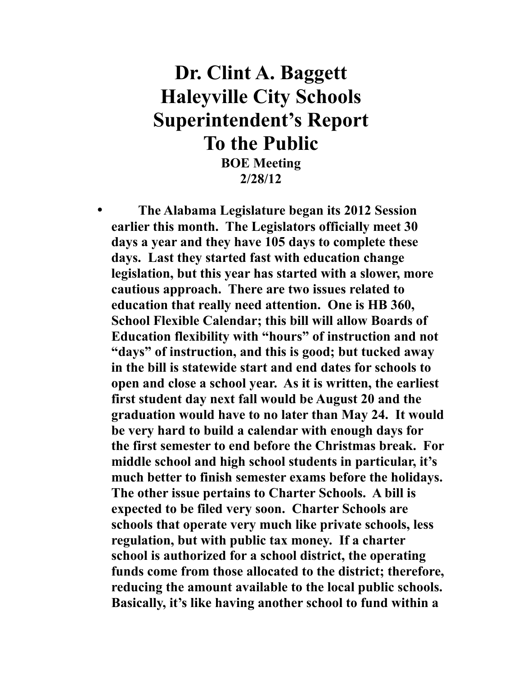## **Dr. Clint A. Baggett Haleyville City Schools Superintendent's Report To the Public**

**BOE Meeting 2/28/12**

• **The Alabama Legislature began its 2012 Session earlier this month. The Legislators officially meet 30 days a year and they have 105 days to complete these days. Last they started fast with education change legislation, but this year has started with a slower, more cautious approach. There are two issues related to education that really need attention. One is HB 360, School Flexible Calendar; this bill will allow Boards of Education flexibility with "hours" of instruction and not "days" of instruction, and this is good; but tucked away in the bill is statewide start and end dates for schools to open and close a school year. As it is written, the earliest first student day next fall would be August 20 and the graduation would have to no later than May 24. It would be very hard to build a calendar with enough days for the first semester to end before the Christmas break. For middle school and high school students in particular, it's much better to finish semester exams before the holidays. The other issue pertains to Charter Schools. A bill is expected to be filed very soon. Charter Schools are schools that operate very much like private schools, less regulation, but with public tax money. If a charter school is authorized for a school district, the operating funds come from those allocated to the district; therefore, reducing the amount available to the local public schools. Basically, it's like having another school to fund within a**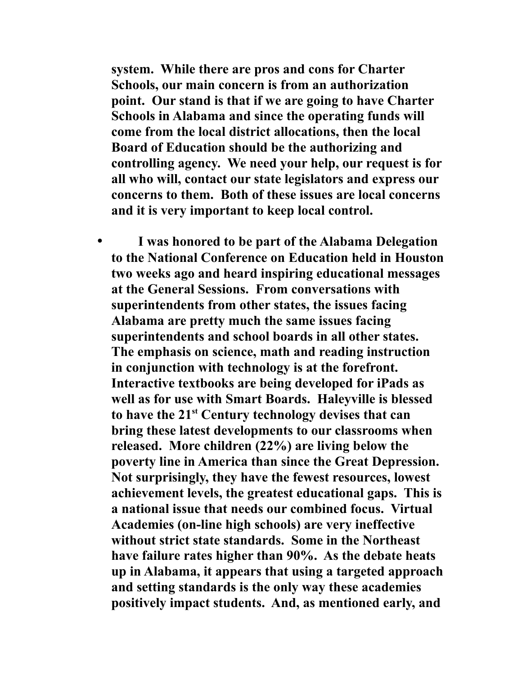**system. While there are pros and cons for Charter Schools, our main concern is from an authorization point. Our stand is that if we are going to have Charter Schools in Alabama and since the operating funds will come from the local district allocations, then the local Board of Education should be the authorizing and controlling agency. We need your help, our request is for all who will, contact our state legislators and express our concerns to them. Both of these issues are local concerns and it is very important to keep local control.**

• **I was honored to be part of the Alabama Delegation to the National Conference on Education held in Houston two weeks ago and heard inspiring educational messages at the General Sessions. From conversations with superintendents from other states, the issues facing Alabama are pretty much the same issues facing superintendents and school boards in all other states. The emphasis on science, math and reading instruction in conjunction with technology is at the forefront. Interactive textbooks are being developed for iPads as well as for use with Smart Boards. Haleyville is blessed to have the 21st Century technology devises that can bring these latest developments to our classrooms when released. More children (22%) are living below the poverty line in America than since the Great Depression. Not surprisingly, they have the fewest resources, lowest achievement levels, the greatest educational gaps. This is a national issue that needs our combined focus. Virtual Academies (on-line high schools) are very ineffective without strict state standards. Some in the Northeast have failure rates higher than 90%. As the debate heats up in Alabama, it appears that using a targeted approach and setting standards is the only way these academies positively impact students. And, as mentioned early, and**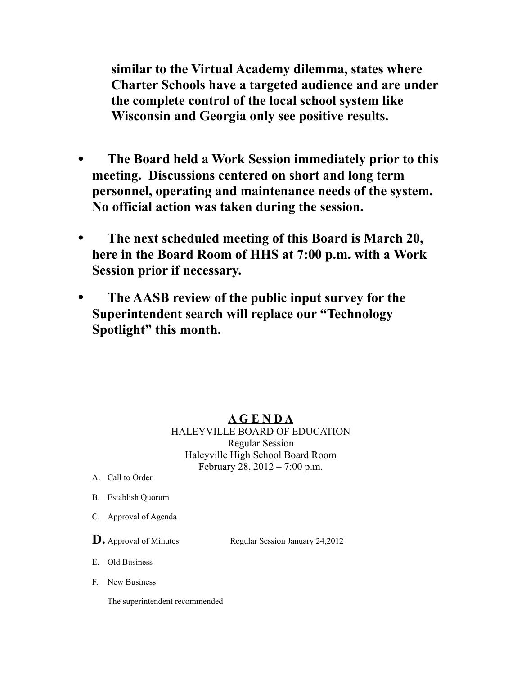**similar to the Virtual Academy dilemma, states where Charter Schools have a targeted audience and are under the complete control of the local school system like Wisconsin and Georgia only see positive results.** 

- **The Board held a Work Session immediately prior to this meeting. Discussions centered on short and long term personnel, operating and maintenance needs of the system. No official action was taken during the session.**
- **The next scheduled meeting of this Board is March 20, here in the Board Room of HHS at 7:00 p.m. with a Work Session prior if necessary.**
- **The AASB review of the public input survey for the Superintendent search will replace our "Technology Spotlight" this month.**

## **A G E N D A**

HALEYVILLE BOARD OF EDUCATION Regular Session Haleyville High School Board Room February 28, 2012 – 7:00 p.m.

- A. Call to Order
- B. Establish Quorum
- C. Approval of Agenda

**D.** Approval of Minutes Regular Session January 24,2012

E. Old Business

F. New Business

The superintendent recommended